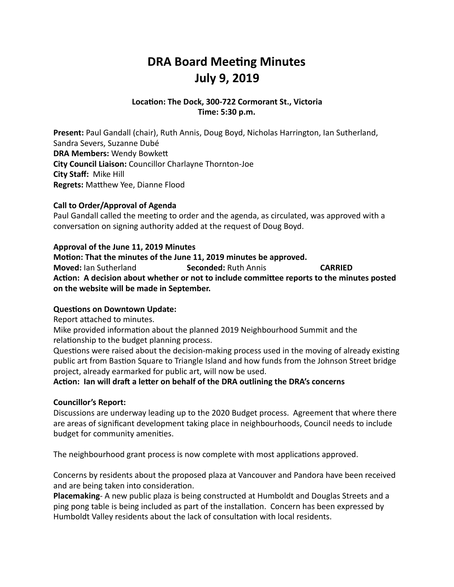## **DRA Board Meeting Minutes July 9, 2019**

### Location: The Dock, 300-722 Cormorant St., Victoria **Time: 5:30 p.m.**

**Present:** Paul Gandall (chair), Ruth Annis, Doug Boyd, Nicholas Harrington, Ian Sutherland, Sandra Severs, Suzanne Dubé **DRA Members: Wendy Bowkett City Council Liaison:** Councillor Charlayne Thornton-Joe **City Staff: Mike Hill Regrets:** Matthew Yee, Dianne Flood

### **Call to Order/Approval of Agenda**

Paul Gandall called the meeting to order and the agenda, as circulated, was approved with a conversation on signing authority added at the request of Doug Boyd.

### Approval of the June 11, 2019 Minutes

**Motion: That the minutes of the June 11, 2019 minutes be approved. Moved:** lan Sutherland **Seconded:** Ruth Annis **CARRIED** Action: A decision about whether or not to include committee reports to the minutes posted on the website will be made in September.

### **Questions on Downtown Update:**

Report attached to minutes.

Mike provided information about the planned 2019 Neighbourhood Summit and the relationship to the budget planning process.

Questions were raised about the decision-making process used in the moving of already existing public art from Bastion Square to Triangle Island and how funds from the Johnson Street bridge project, already earmarked for public art, will now be used.

### Action: Ian will draft a letter on behalf of the DRA outlining the DRA's concerns

### **Councillor's Report:**

Discussions are underway leading up to the 2020 Budget process. Agreement that where there are areas of significant development taking place in neighbourhoods, Council needs to include budget for community amenities.

The neighbourhood grant process is now complete with most applications approved.

Concerns by residents about the proposed plaza at Vancouver and Pandora have been received and are being taken into consideration.

**Placemaking-** A new public plaza is being constructed at Humboldt and Douglas Streets and a ping pong table is being included as part of the installation. Concern has been expressed by Humboldt Valley residents about the lack of consultation with local residents.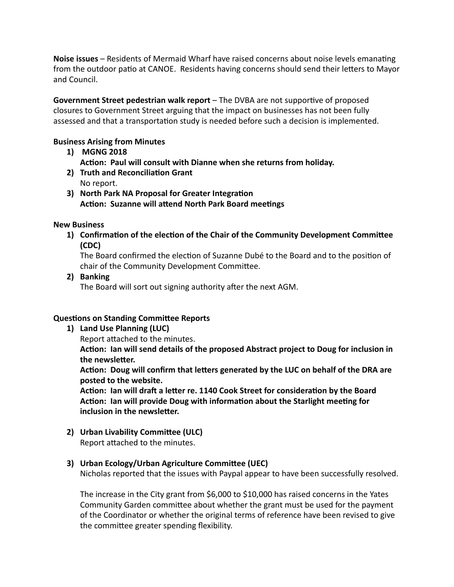**Noise issues** – Residents of Mermaid Wharf have raised concerns about noise levels emanating from the outdoor patio at CANOE. Residents having concerns should send their letters to Mayor and Council.

**Government Street pedestrian walk report** – The DVBA are not supportive of proposed closures to Government Street arguing that the impact on businesses has not been fully assessed and that a transportation study is needed before such a decision is implemented.

### **Business Arising from Minutes**

- 1) **MGNG 2018** Action: Paul will consult with Dianne when she returns from holiday.
- **2) Truth and Reconciliation Grant** No report.
- **3)** North Park NA Proposal for Greater Integration **Action: Suzanne will attend North Park Board meetings**

### **New Business**

**1)** Confirmation of the election of the Chair of the Community Development Committee **(CDC)** 

The Board confirmed the election of Suzanne Dubé to the Board and to the position of chair of the Community Development Committee.

2) **Banking** 

The Board will sort out signing authority after the next AGM.

### **Questions on Standing Committee Reports**

1) Land Use Planning (LUC)

Report attached to the minutes.

Action: Ian will send details of the proposed Abstract project to Doug for inclusion in the newsletter.

Action: Doug will confirm that letters generated by the LUC on behalf of the DRA are posted to the website.

Action: Ian will draft a letter re. 1140 Cook Street for consideration by the Board Action: Ian will provide Doug with information about the Starlight meeting for **inclusion in the newsletter.** 

**2)** Urban Livability Committee (ULC) Report attached to the minutes.

### **3)** Urban Ecology/Urban Agriculture Committee (UEC)

Nicholas reported that the issues with Paypal appear to have been successfully resolved.

The increase in the City grant from \$6,000 to \$10,000 has raised concerns in the Yates Community Garden committee about whether the grant must be used for the payment of the Coordinator or whether the original terms of reference have been revised to give the committee greater spending flexibility.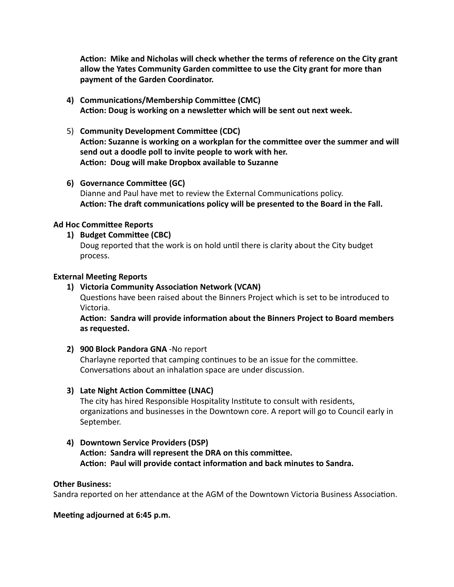Action: Mike and Nicholas will check whether the terms of reference on the City grant allow the Yates Community Garden committee to use the City grant for more than payment of the Garden Coordinator.

- 4) **Communications/Membership Committee (CMC)** Action: Doug is working on a newsletter which will be sent out next week.
- 5) **Community Development Committee (CDC)** Action: Suzanne is working on a workplan for the committee over the summer and will send out a doodle poll to invite people to work with her. Action: Doug will make Dropbox available to Suzanne
- **6)** Governance Committee (GC) Dianne and Paul have met to review the External Communications policy. Action: The draft communications policy will be presented to the Board in the Fall.

### **Ad Hoc Committee Reports**

1) **Budget Committee (CBC)** 

Doug reported that the work is on hold until there is clarity about the City budget process. 

### **External Meeting Reports**

### 1) Victoria Community Association Network (VCAN)

Questions have been raised about the Binners Project which is set to be introduced to Victoria. 

Action: Sandra will provide information about the Binners Project to Board members as requested.

### **2) 900 Block Pandora GNA** -No report

Charlayne reported that camping continues to be an issue for the committee. Conversations about an inhalation space are under discussion.

### **3)** Late Night Action Committee (LNAC)

The city has hired Responsible Hospitality Institute to consult with residents, organizations and businesses in the Downtown core. A report will go to Council early in September. 

**4) Downtown Service Providers (DSP)**  Action: Sandra will represent the DRA on this committee. Action: Paul will provide contact information and back minutes to Sandra.

### **Other Business:**

Sandra reported on her attendance at the AGM of the Downtown Victoria Business Association.

### **Meeting adjourned at 6:45 p.m.**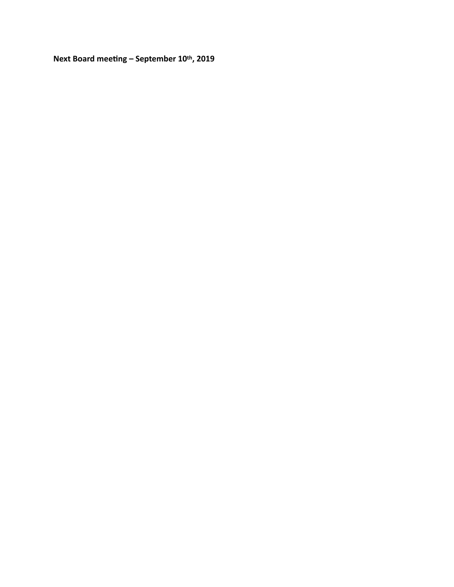Next Board meeting – September 10th, 2019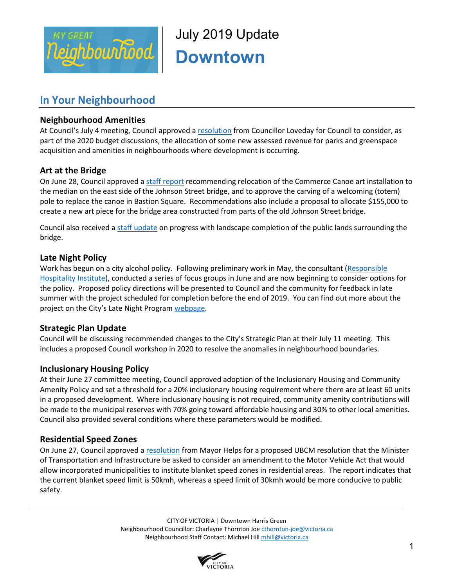

July 2019 Update **Downtown** 

### **In Your Neighbourhood**

### **Neighbourhood Amenities**

At Council's July 4 meeting, Council approved [a resolution](file://///files/Sdrive/Neighbourhood%20Team/Hotsheets/Fairfield%20Gonzales/2019/May,%202019/That%20Council%20consider%20as%20part%20of%20the%202020%20budget%20discussions%20the%20allocation%20of%20some%20new%20assessed%20revenue%20for%20parks%20and%20greenspace%20acquisition%20and%20amenities%20in%20neighbourhoods%20where%20development%20is%20occurring.) from Councillor Loveday for Council to consider, as part of the 2020 budget discussions, the allocation of some new assessed revenue for parks and greenspace acquisition and amenities in neighbourhoods where development is occurring.

### **Art at the Bridge**

On June 28, Council approved a staff [report](https://pub-victoria.escribemeetings.com/filestream.ashx?DocumentId=41843) recommending relocation of the Commerce Canoe art installation to the median on the east side of the Johnson Street bridge, and to approve the carving of a welcoming (totem) pole to replace the canoe in Bastion Square. Recommendations also include a proposal to allocate \$155,000 to create a new art piece for the bridge area constructed from parts of the old Johnson Street bridge.

Council also received a staff [update](https://pub-victoria.escribemeetings.com/filestream.ashx?DocumentId=41842) on progress with landscape completion of the public lands surrounding the bridge.

### **Late Night Policy**

Work has begun on a city alcohol policy. Following preliminary work in May, the consultant [\(Responsible](https://can01.safelinks.protection.outlook.com/?url=https%3A%2F%2Frhiweb.org%2F&data=02%7C01%7Cmhill%40victoria.ca%7Cb990ee74af094bad417008d6e937b0d3%7Cd7098116c6e84d2a89eedb15b6c23375%7C0%7C0%7C636952822724380705&sdata=P8S64IJlB7DVAwG1SaZiVJ3IHHbXU6euEQ7TZA%2Fg7%2FE%3D&reserved=0)  [Hospitality Institute\)](https://can01.safelinks.protection.outlook.com/?url=https%3A%2F%2Frhiweb.org%2F&data=02%7C01%7Cmhill%40victoria.ca%7Cb990ee74af094bad417008d6e937b0d3%7Cd7098116c6e84d2a89eedb15b6c23375%7C0%7C0%7C636952822724380705&sdata=P8S64IJlB7DVAwG1SaZiVJ3IHHbXU6euEQ7TZA%2Fg7%2FE%3D&reserved=0), conducted a series of focus groups in June and are now beginning to consider options for the policy. Proposed policy directions will be presented to Council and the community for feedback in late summer with the project scheduled for completion before the end of 2019. You can find out more about the project on the City's Late Night Program [webpage.](https://www.victoria.ca/EN/main/business/downtown/late-night-program.html)

### **Strategic Plan Update**

Council will be discussing recommended changes to the City's Strategic Plan at their July 11 meeting. This includes a proposed Council workshop in 2020 to resolve the anomalies in neighbourhood boundaries.

### **Inclusionary Housing Policy**

At their June 27 committee meeting, Council approved adoption of the Inclusionary Housing and Community Amenity Policy and set a threshold for a 20% inclusionary housing requirement where there are at least 60 units in a proposed development. Where inclusionary housing is not required, community amenity contributions will be made to the municipal reserves with 70% going toward affordable housing and 30% to other local amenities. Council also provided several conditions where these parameters would be modified.

### **Residential Speed Zones**

On June 27, Council approved a [resolution](https://pub-victoria.escribemeetings.com/filestream.ashx?DocumentId=41838) from Mayor Helps for a proposed UBCM resolution that the Minister of Transportation and Infrastructure be asked to consider an amendment to the Motor Vehicle Act that would allow incorporated municipalities to institute blanket speed zones in residential areas. The report indicates that the current blanket speed limit is 50kmh, whereas a speed limit of 30kmh would be more conducive to public safety.

> CITY OF VICTORIA | Downtown Harris Green Neighbourhood Councillor: Charlayne Thornton Joe [cthornton-joe@victoria.ca](mailto:cthornton-joe@victoria.ca) Neighbourhood Staff Contact: Michael Hil[l mhill@victoria.ca](mailto:mhill@victoria.ca)

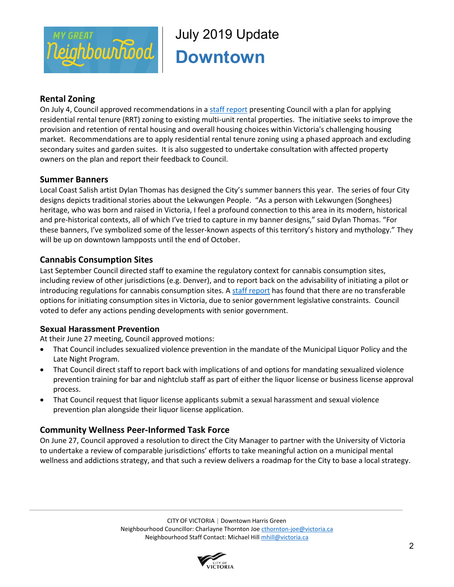

## July 2019 Update **Downtown**

### **Rental Zoning**

On July 4, Council approved recommendations in a [staff report](https://pub-victoria.escribemeetings.com/filestream.ashx?DocumentId=42141) presenting Council with a plan for applying residential rental tenure (RRT) zoning to existing multi-unit rental properties. The initiative seeks to improve the provision and retention of rental housing and overall housing choices within Victoria's challenging housing market. Recommendations are to apply residential rental tenure zoning using a phased approach and excluding secondary suites and garden suites. It is also suggested to undertake consultation with affected property owners on the plan and report their feedback to Council.

### **Summer Banners**

Local Coast Salish artist Dylan Thomas has designed the City's summer banners this year. The series of four City designs depicts traditional stories about the Lekwungen People. "As a person with Lekwungen (Songhees) heritage, who was born and raised in Victoria, I feel a profound connection to this area in its modern, historical and pre-historical contexts, all of which I've tried to capture in my banner designs," said Dylan Thomas. "For these banners, I've symbolized some of the lesser-known aspects of this territory's history and mythology." They will be up on downtown lampposts until the end of October.

### **Cannabis Consumption Sites**

Last September Council directed staff to examine the regulatory context for cannabis consumption sites, including review of other jurisdictions (e.g. Denver), and to report back on the advisability of initiating a pilot or introducing regulations for cannabis consumption sites. A [staff report](https://pub-victoria.escribemeetings.com/filestream.ashx?DocumentId=42155) has found that there are no transferable options for initiating consumption sites in Victoria, due to senior government legislative constraints. Council voted to defer any actions pending developments with senior government.

### **Sexual Harassment Prevention**

At their June 27 meeting, Council approved motions:

- That Council includes sexualized violence prevention in the mandate of the Municipal Liquor Policy and the Late Night Program.
- That Council direct staff to report back with implications of and options for mandating sexualized violence prevention training for bar and nightclub staff as part of either the liquor license or business license approval process.
- That Council request that liquor license applicants submit a sexual harassment and sexual violence prevention plan alongside their liquor license application.

### **Community Wellness Peer-Informed Task Force**

On June 27, Council approved a resolution to direct the City Manager to partner with the University of Victoria to undertake a review of comparable jurisdictions' efforts to take meaningful action on a municipal mental wellness and addictions strategy, and that such a review delivers a roadmap for the City to base a local strategy.